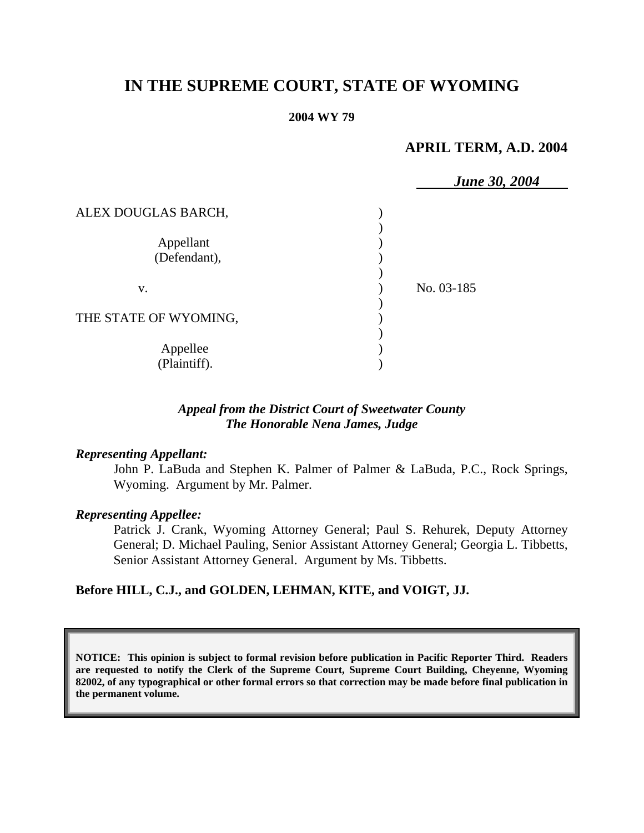# **IN THE SUPREME COURT, STATE OF WYOMING**

#### **2004 WY 79**

## **APRIL TERM, A.D. 2004**

|                           | <b>June 30, 2004</b> |
|---------------------------|----------------------|
| ALEX DOUGLAS BARCH,       |                      |
| Appellant<br>(Defendant), |                      |
| V.                        | No. 03-185           |
| THE STATE OF WYOMING,     |                      |
| Appellee<br>(Plaintiff).  |                      |

## *Appeal from the District Court of Sweetwater County The Honorable Nena James, Judge*

#### *Representing Appellant:*

John P. LaBuda and Stephen K. Palmer of Palmer & LaBuda, P.C., Rock Springs, Wyoming. Argument by Mr. Palmer.

#### *Representing Appellee:*

Patrick J. Crank, Wyoming Attorney General; Paul S. Rehurek, Deputy Attorney General; D. Michael Pauling, Senior Assistant Attorney General; Georgia L. Tibbetts, Senior Assistant Attorney General. Argument by Ms. Tibbetts.

## **Before HILL, C.J., and GOLDEN, LEHMAN, KITE, and VOIGT, JJ.**

**NOTICE: This opinion is subject to formal revision before publication in Pacific Reporter Third. Readers are requested to notify the Clerk of the Supreme Court, Supreme Court Building, Cheyenne, Wyoming 82002, of any typographical or other formal errors so that correction may be made before final publication in the permanent volume.**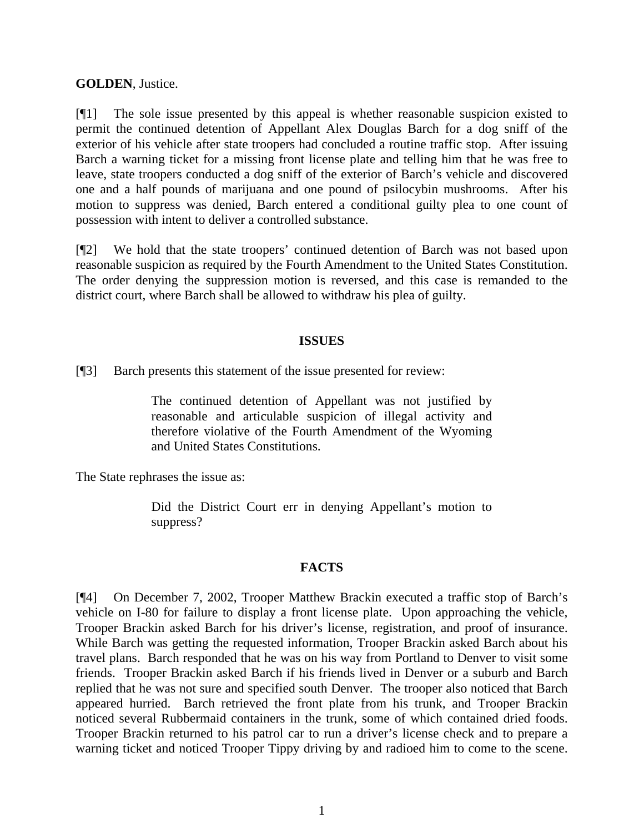## **GOLDEN**, Justice.

[¶1] The sole issue presented by this appeal is whether reasonable suspicion existed to permit the continued detention of Appellant Alex Douglas Barch for a dog sniff of the exterior of his vehicle after state troopers had concluded a routine traffic stop. After issuing Barch a warning ticket for a missing front license plate and telling him that he was free to leave, state troopers conducted a dog sniff of the exterior of Barch's vehicle and discovered one and a half pounds of marijuana and one pound of psilocybin mushrooms. After his motion to suppress was denied, Barch entered a conditional guilty plea to one count of possession with intent to deliver a controlled substance.

[¶2] We hold that the state troopers' continued detention of Barch was not based upon reasonable suspicion as required by the Fourth Amendment to the United States Constitution. The order denying the suppression motion is reversed, and this case is remanded to the district court, where Barch shall be allowed to withdraw his plea of guilty.

## **ISSUES**

[¶3] Barch presents this statement of the issue presented for review:

The continued detention of Appellant was not justified by reasonable and articulable suspicion of illegal activity and therefore violative of the Fourth Amendment of the Wyoming and United States Constitutions.

The State rephrases the issue as:

Did the District Court err in denying Appellant's motion to suppress?

### **FACTS**

[¶4] On December 7, 2002, Trooper Matthew Brackin executed a traffic stop of Barch's vehicle on I-80 for failure to display a front license plate. Upon approaching the vehicle, Trooper Brackin asked Barch for his driver's license, registration, and proof of insurance. While Barch was getting the requested information, Trooper Brackin asked Barch about his travel plans. Barch responded that he was on his way from Portland to Denver to visit some friends. Trooper Brackin asked Barch if his friends lived in Denver or a suburb and Barch replied that he was not sure and specified south Denver. The trooper also noticed that Barch appeared hurried. Barch retrieved the front plate from his trunk, and Trooper Brackin noticed several Rubbermaid containers in the trunk, some of which contained dried foods. Trooper Brackin returned to his patrol car to run a driver's license check and to prepare a warning ticket and noticed Trooper Tippy driving by and radioed him to come to the scene.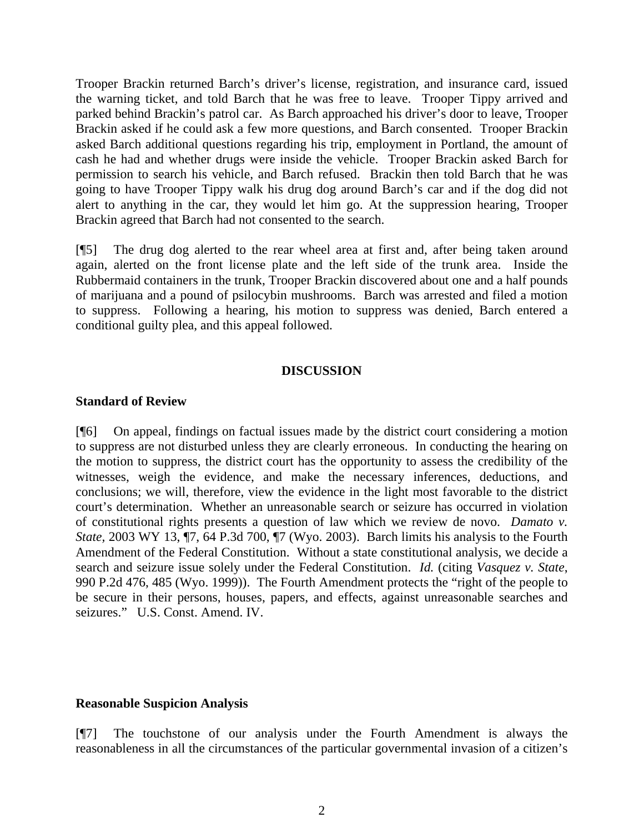Trooper Brackin returned Barch's driver's license, registration, and insurance card, issued the warning ticket, and told Barch that he was free to leave. Trooper Tippy arrived and parked behind Brackin's patrol car. As Barch approached his driver's door to leave, Trooper Brackin asked if he could ask a few more questions, and Barch consented. Trooper Brackin asked Barch additional questions regarding his trip, employment in Portland, the amount of cash he had and whether drugs were inside the vehicle. Trooper Brackin asked Barch for permission to search his vehicle, and Barch refused. Brackin then told Barch that he was going to have Trooper Tippy walk his drug dog around Barch's car and if the dog did not alert to anything in the car, they would let him go. At the suppression hearing, Trooper Brackin agreed that Barch had not consented to the search.

[¶5] The drug dog alerted to the rear wheel area at first and, after being taken around again, alerted on the front license plate and the left side of the trunk area. Inside the Rubbermaid containers in the trunk, Trooper Brackin discovered about one and a half pounds of marijuana and a pound of psilocybin mushrooms. Barch was arrested and filed a motion to suppress. Following a hearing, his motion to suppress was denied, Barch entered a conditional guilty plea, and this appeal followed.

#### **DISCUSSION**

#### **Standard of Review**

[¶6] On appeal, findings on factual issues made by the district court considering a motion to suppress are not disturbed unless they are clearly erroneous. In conducting the hearing on the motion to suppress, the district court has the opportunity to assess the credibility of the witnesses, weigh the evidence, and make the necessary inferences, deductions, and conclusions; we will, therefore, view the evidence in the light most favorable to the district court's determination. Whether an unreasonable search or seizure has occurred in violation of constitutional rights presents a question of law which we review de novo. *Damato v. State,* 2003 WY 13, ¶7, 64 P.3d 700, ¶7 (Wyo. 2003). Barch limits his analysis to the Fourth Amendment of the Federal Constitution. Without a state constitutional analysis, we decide a search and seizure issue solely under the Federal Constitution. *Id.* (citing *Vasquez v. State*, 990 P.2d 476, 485 (Wyo. 1999)). The Fourth Amendment protects the "right of the people to be secure in their persons, houses, papers, and effects, against unreasonable searches and seizures." U.S. Const. Amend. IV.

### **Reasonable Suspicion Analysis**

[¶7] The touchstone of our analysis under the Fourth Amendment is always the reasonableness in all the circumstances of the particular governmental invasion of a citizen's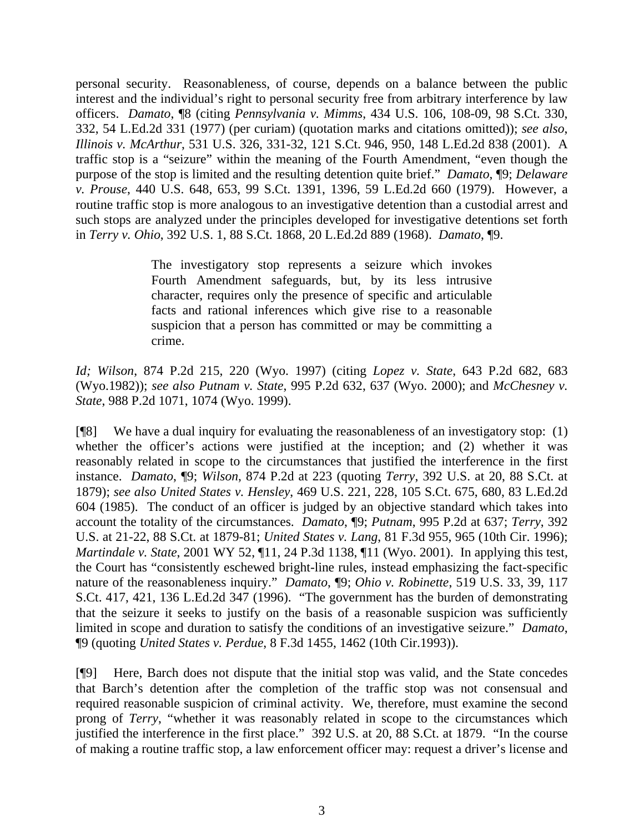personal security. Reasonableness, of course, depends on a balance between the public interest and the individual's right to personal security free from arbitrary interference by law officers. *Damato*, ¶8 (citing *Pennsylvania v. Mimms*, 434 U.S. 106, 108-09, 98 S.Ct. 330, 332, 54 L.Ed.2d 331 (1977) (per curiam) (quotation marks and citations omitted)); *see also*, *Illinois v. McArthur*, 531 U.S. 326, 331-32, 121 S.Ct. 946, 950, 148 L.Ed.2d 838 (2001). A traffic stop is a "seizure" within the meaning of the Fourth Amendment, "even though the purpose of the stop is limited and the resulting detention quite brief." *Damato*, ¶9; *Delaware v. Prouse*, 440 U.S. 648, 653, 99 S.Ct. 1391, 1396, 59 L.Ed.2d 660 (1979). However, a routine traffic stop is more analogous to an investigative detention than a custodial arrest and such stops are analyzed under the principles developed for investigative detentions set forth in *Terry v. Ohio*, 392 U.S. 1, 88 S.Ct. 1868, 20 L.Ed.2d 889 (1968). *Damato*, ¶9.

> The investigatory stop represents a seizure which invokes Fourth Amendment safeguards, but, by its less intrusive character, requires only the presence of specific and articulable facts and rational inferences which give rise to a reasonable suspicion that a person has committed or may be committing a crime.

*Id; Wilson*, 874 P.2d 215, 220 (Wyo. 1997) (citing *Lopez v. State*, 643 P.2d 682, 683 (Wyo.1982)); *see also Putnam v. State*, 995 P.2d 632, 637 (Wyo. 2000); and *McChesney v. State*, 988 P.2d 1071, 1074 (Wyo. 1999).

[¶8] We have a dual inquiry for evaluating the reasonableness of an investigatory stop: (1) whether the officer's actions were justified at the inception; and (2) whether it was reasonably related in scope to the circumstances that justified the interference in the first instance. *Damato*, ¶9; *Wilson*, 874 P.2d at 223 (quoting *Terry*, 392 U.S. at 20, 88 S.Ct. at 1879); *see also United States v. Hensley*, 469 U.S. 221, 228, 105 S.Ct. 675, 680, 83 L.Ed.2d 604 (1985). The conduct of an officer is judged by an objective standard which takes into account the totality of the circumstances. *Damato*, ¶9; *Putnam*, 995 P.2d at 637; *Terry*, 392 U.S. at 21-22, 88 S.Ct. at 1879-81; *United States v. Lang*, 81 F.3d 955, 965 (10th Cir. 1996); *Martindale v. State*, 2001 WY 52, ¶11, 24 P.3d 1138, ¶11 (Wyo. 2001). In applying this test, the Court has "consistently eschewed bright-line rules, instead emphasizing the fact-specific nature of the reasonableness inquiry." *Damato*, ¶9; *Ohio v. Robinette*, 519 U.S. 33, 39, 117 S.Ct. 417, 421, 136 L.Ed.2d 347 (1996). "The government has the burden of demonstrating that the seizure it seeks to justify on the basis of a reasonable suspicion was sufficiently limited in scope and duration to satisfy the conditions of an investigative seizure." *Damato*, ¶9 (quoting *United States v. Perdue*, 8 F.3d 1455, 1462 (10th Cir.1993)).

[¶9] Here, Barch does not dispute that the initial stop was valid, and the State concedes that Barch's detention after the completion of the traffic stop was not consensual and required reasonable suspicion of criminal activity. We, therefore, must examine the second prong of *Terry*, "whether it was reasonably related in scope to the circumstances which justified the interference in the first place." 392 U.S. at 20, 88 S.Ct. at 1879. "In the course of making a routine traffic stop, a law enforcement officer may: request a driver's license and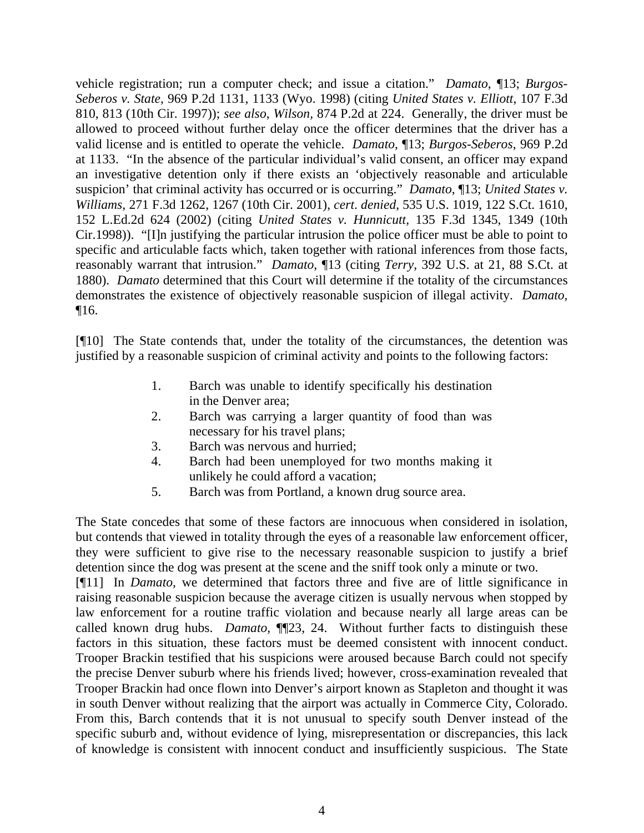vehicle registration; run a computer check; and issue a citation." *Damato*, ¶13; *Burgos-Seberos v. State*, 969 P.2d 1131, 1133 (Wyo. 1998) (citing *United States v. Elliott*, 107 F.3d 810, 813 (10th Cir. 1997)); *see also*, *Wilson,* 874 P.2d at 224. Generally, the driver must be allowed to proceed without further delay once the officer determines that the driver has a valid license and is entitled to operate the vehicle. *Damato*, ¶13; *Burgos-Seberos*, 969 P.2d at 1133. "In the absence of the particular individual's valid consent, an officer may expand an investigative detention only if there exists an 'objectively reasonable and articulable suspicion' that criminal activity has occurred or is occurring." *Damato*, ¶13; *United States v. Williams*, 271 F.3d 1262, 1267 (10th Cir. 2001), *cert*. *denied*, 535 U.S. 1019, 122 S.Ct. 1610, 152 L.Ed.2d 624 (2002) (citing *United States v. Hunnicutt,* 135 F.3d 1345, 1349 (10th Cir.1998)). "[I]n justifying the particular intrusion the police officer must be able to point to specific and articulable facts which, taken together with rational inferences from those facts, reasonably warrant that intrusion." *Damato*, ¶13 (citing *Terry,* 392 U.S. at 21, 88 S.Ct. at 1880). *Damato* determined that this Court will determine if the totality of the circumstances demonstrates the existence of objectively reasonable suspicion of illegal activity. *Damato,* ¶16.

[¶10] The State contends that, under the totality of the circumstances, the detention was justified by a reasonable suspicion of criminal activity and points to the following factors:

- 1. Barch was unable to identify specifically his destination in the Denver area;
- 2. Barch was carrying a larger quantity of food than was necessary for his travel plans;
- 3. Barch was nervous and hurried;
- 4. Barch had been unemployed for two months making it unlikely he could afford a vacation;
- 5. Barch was from Portland, a known drug source area.

The State concedes that some of these factors are innocuous when considered in isolation, but contends that viewed in totality through the eyes of a reasonable law enforcement officer, they were sufficient to give rise to the necessary reasonable suspicion to justify a brief detention since the dog was present at the scene and the sniff took only a minute or two. [¶11] In *Damato*, we determined that factors three and five are of little significance in raising reasonable suspicion because the average citizen is usually nervous when stopped by law enforcement for a routine traffic violation and because nearly all large areas can be called known drug hubs. *Damato,* ¶¶23, 24. Without further facts to distinguish these factors in this situation, these factors must be deemed consistent with innocent conduct. Trooper Brackin testified that his suspicions were aroused because Barch could not specify

the precise Denver suburb where his friends lived; however, cross-examination revealed that Trooper Brackin had once flown into Denver's airport known as Stapleton and thought it was in south Denver without realizing that the airport was actually in Commerce City, Colorado. From this, Barch contends that it is not unusual to specify south Denver instead of the specific suburb and, without evidence of lying, misrepresentation or discrepancies, this lack of knowledge is consistent with innocent conduct and insufficiently suspicious. The State